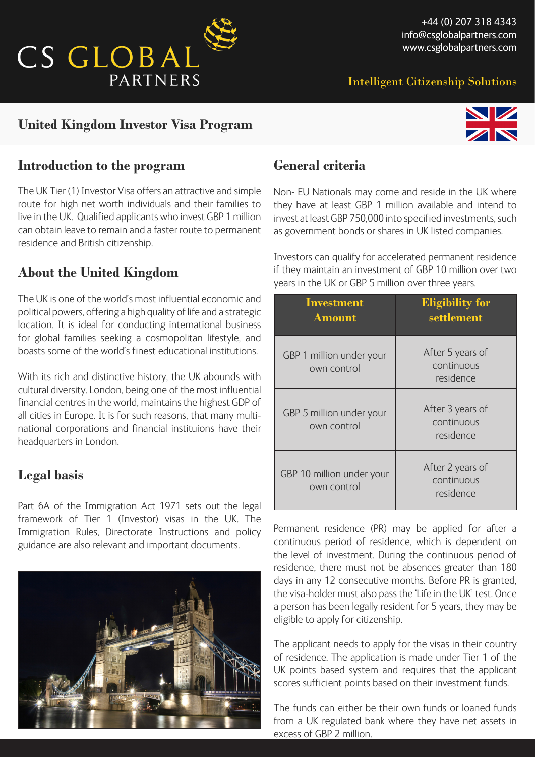

Intelligent Citizenship Solutions

# **United Kingdom Investor Visa Program**



### **Introduction to the program**

The UK Tier (1) Investor Visa offers an attractive and simple route for high net worth individuals and their families to live in the UK. Qualified applicants who invest GBP 1 million can obtain leave to remain and a faster route to permanent residence and British citizenship.

## **About the United Kingdom**

The UK is one of the world's most influential economic and political powers, offering a high quality of life and a strategic location. It is ideal for conducting international business for global families seeking a cosmopolitan lifestyle, and boasts some of the world's finest educational institutions.

With its rich and distinctive history, the UK abounds with cultural diversity. London, being one of the most influential financial centres in the world, maintains the highest GDP of all cities in Europe. It is for such reasons, that many multinational corporations and financial instituions have their headquarters in London.

### **Legal basis**

Part 6A of the Immigration Act 1971 sets out the legal framework of Tier 1 (Investor) visas in the UK. The Immigration Rules, Directorate Instructions and policy guidance are also relevant and important documents.



# **General criteria**

Non- EU Nationals may come and reside in the UK where they have at least GBP 1 million available and intend to invest at least GBP 750,000 into specified investments, such as government bonds or shares in UK listed companies.

Investors can qualify for accelerated permanent residence if they maintain an investment of GBP 10 million over two years in the UK or GBP 5 million over three years.

| <b>Investment</b><br><b>Amount</b>       | <b>Eligibility for</b><br>settlement        |
|------------------------------------------|---------------------------------------------|
| GBP 1 million under your<br>own control  | After 5 years of<br>continuous<br>residence |
| GBP 5 million under your<br>own control  | After 3 years of<br>continuous<br>residence |
| GBP 10 million under your<br>own control | After 2 years of<br>continuous<br>residence |

Permanent residence (PR) may be applied for after a continuous period of residence, which is dependent on the level of investment. During the continuous period of residence, there must not be absences greater than 180 days in any 12 consecutive months. Before PR is granted, the visa-holder must also pass the 'Life in the UK' test. Once a person has been legally resident for 5 years, they may be eligible to apply for citizenship.

The applicant needs to apply for the visas in their country of residence. The application is made under Tier 1 of the UK points based system and requires that the applicant scores sufficient points based on their investment funds.

The funds can either be their own funds or loaned funds from a UK regulated bank where they have net assets in excess of GBP 2 million.